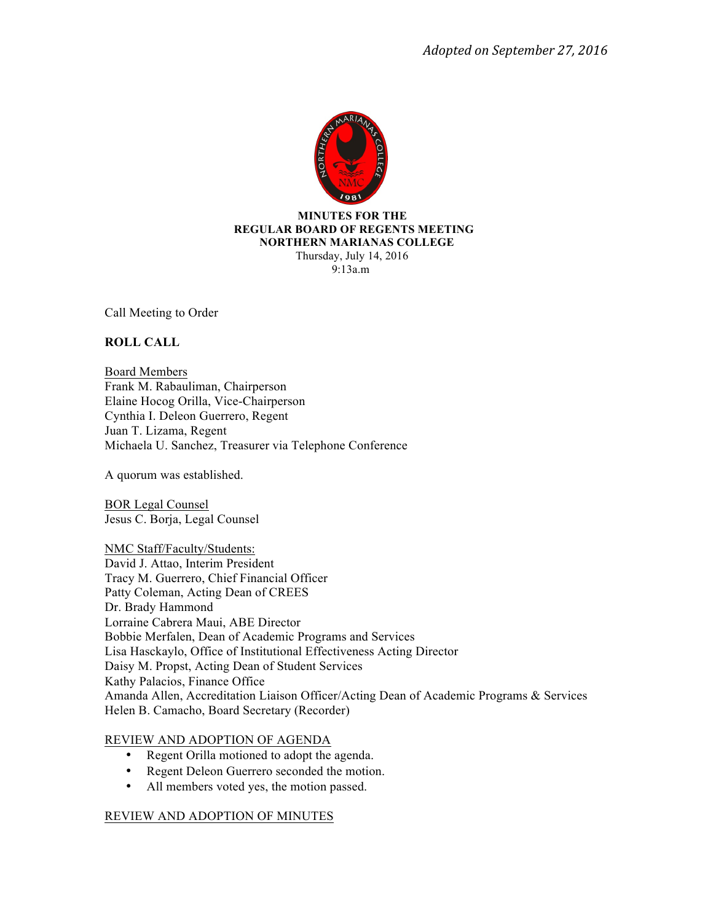

 **MINUTES FOR THE REGULAR BOARD OF REGENTS MEETING NORTHERN MARIANAS COLLEGE** Thursday, July 14, 2016 9:13a.m

Call Meeting to Order

### **ROLL CALL**

Board Members Frank M. Rabauliman, Chairperson Elaine Hocog Orilla, Vice-Chairperson Cynthia I. Deleon Guerrero, Regent Juan T. Lizama, Regent Michaela U. Sanchez, Treasurer via Telephone Conference

A quorum was established.

BOR Legal Counsel Jesus C. Borja, Legal Counsel

NMC Staff/Faculty/Students:

David J. Attao, Interim President Tracy M. Guerrero, Chief Financial Officer Patty Coleman, Acting Dean of CREES Dr. Brady Hammond Lorraine Cabrera Maui, ABE Director Bobbie Merfalen, Dean of Academic Programs and Services Lisa Hasckaylo, Office of Institutional Effectiveness Acting Director Daisy M. Propst, Acting Dean of Student Services Kathy Palacios, Finance Office Amanda Allen, Accreditation Liaison Officer/Acting Dean of Academic Programs & Services Helen B. Camacho, Board Secretary (Recorder)

### REVIEW AND ADOPTION OF AGENDA

- Regent Orilla motioned to adopt the agenda.
- Regent Deleon Guerrero seconded the motion.
- All members voted yes, the motion passed.

# REVIEW AND ADOPTION OF MINUTES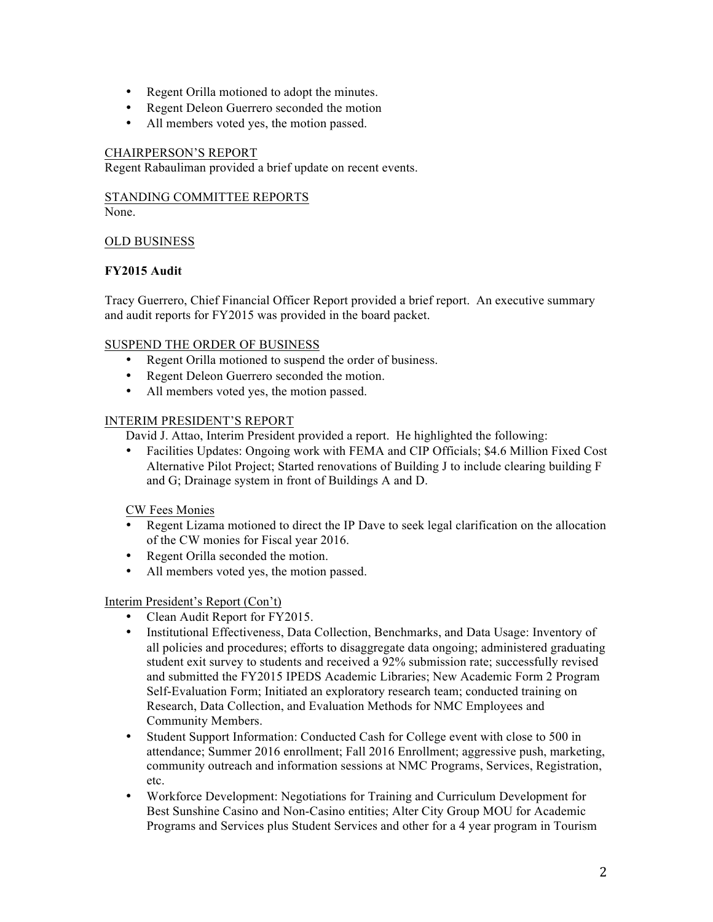- Regent Orilla motioned to adopt the minutes.
- Regent Deleon Guerrero seconded the motion
- All members voted yes, the motion passed.

#### CHAIRPERSON'S REPORT

Regent Rabauliman provided a brief update on recent events.

STANDING COMMITTEE REPORTS

None.

### OLD BUSINESS

### **FY2015 Audit**

Tracy Guerrero, Chief Financial Officer Report provided a brief report. An executive summary and audit reports for FY2015 was provided in the board packet.

### SUSPEND THE ORDER OF BUSINESS

- Regent Orilla motioned to suspend the order of business.
- Regent Deleon Guerrero seconded the motion.
- All members voted yes, the motion passed.

### INTERIM PRESIDENT'S REPORT

David J. Attao, Interim President provided a report. He highlighted the following:

• Facilities Updates: Ongoing work with FEMA and CIP Officials; \$4.6 Million Fixed Cost Alternative Pilot Project; Started renovations of Building J to include clearing building F and G; Drainage system in front of Buildings A and D.

### CW Fees Monies

- Regent Lizama motioned to direct the IP Dave to seek legal clarification on the allocation of the CW monies for Fiscal year 2016.
- Regent Orilla seconded the motion.
- All members voted yes, the motion passed.

### Interim President's Report (Con't)

- Clean Audit Report for FY2015.
- Institutional Effectiveness, Data Collection, Benchmarks, and Data Usage: Inventory of all policies and procedures; efforts to disaggregate data ongoing; administered graduating student exit survey to students and received a 92% submission rate; successfully revised and submitted the FY2015 IPEDS Academic Libraries; New Academic Form 2 Program Self-Evaluation Form; Initiated an exploratory research team; conducted training on Research, Data Collection, and Evaluation Methods for NMC Employees and Community Members.
- Student Support Information: Conducted Cash for College event with close to 500 in attendance; Summer 2016 enrollment; Fall 2016 Enrollment; aggressive push, marketing, community outreach and information sessions at NMC Programs, Services, Registration, etc.
- Workforce Development: Negotiations for Training and Curriculum Development for Best Sunshine Casino and Non-Casino entities; Alter City Group MOU for Academic Programs and Services plus Student Services and other for a 4 year program in Tourism